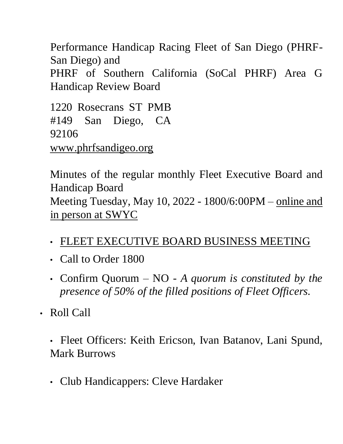Performance Handicap Racing Fleet of San Diego (PHRF-San Diego) and PHRF of Southern California (SoCal PHRF) Area G Handicap Review Board

1220 Rosecrans ST PMB #149 San Diego, CA 92106 [www.phrfsandigeo.org](http://www.phrfsandigeo.org/)

Minutes of the regular monthly Fleet Executive Board and Handicap Board Meeting Tuesday, May 10, 2022 - 1800/6:00PM – online and in person at SWYC

- FLEET EXECUTIVE BOARD BUSINESS MEETING
- Call to Order 1800
- Confirm Quorum NO *A quorum is constituted by the presence of 50% of the filled positions of Fleet Officers.*
- Roll Call

• Fleet Officers: Keith Ericson, Ivan Batanov, Lani Spund, Mark Burrows

• Club Handicappers: Cleve Hardaker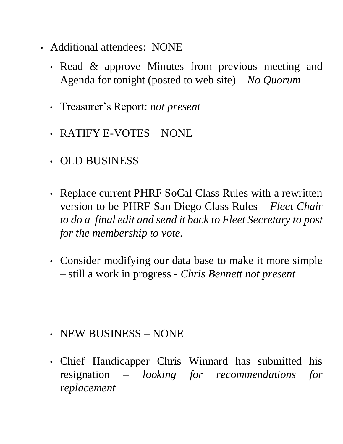- Additional attendees: NONE
	- Read & approve Minutes from previous meeting and Agenda for tonight (posted to web site) – *No Quorum*
	- Treasurer's Report: *not present*
	- RATIFY E-VOTES NONE
	- OLD BUSINESS
	- Replace current PHRF SoCal Class Rules with a rewritten version to be PHRF San Diego Class Rules *– Fleet Chair to do a final edit and send it back to Fleet Secretary to post for the membership to vote.*
	- Consider modifying our data base to make it more simple – still a work in progress *- Chris Bennett not present*

- NEW BUSINESS NONE
- Chief Handicapper Chris Winnard has submitted his resignation *– looking for recommendations for replacement*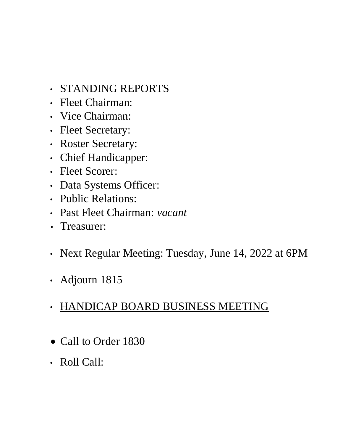- STANDING REPORTS
- Fleet Chairman:
- Vice Chairman:
- Fleet Secretary:
- Roster Secretary:
- Chief Handicapper:
- Fleet Scorer:
- Data Systems Officer:
- Public Relations:
- Past Fleet Chairman: *vacant*
- Treasurer:
- Next Regular Meeting: Tuesday, June 14, 2022 at 6PM
- Adjourn 1815

## • HANDICAP BOARD BUSINESS MEETING

- Call to Order 1830
- Roll Call: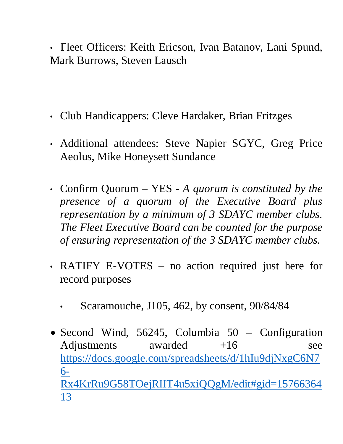• Fleet Officers: Keith Ericson, Ivan Batanov, Lani Spund, Mark Burrows, Steven Lausch

- Club Handicappers: Cleve Hardaker, Brian Fritzges
- Additional attendees: Steve Napier SGYC, Greg Price Aeolus, Mike Honeysett Sundance
- Confirm Quorum YES *A quorum is constituted by the presence of a quorum of the Executive Board plus representation by a minimum of 3 SDAYC member clubs. The Fleet Executive Board can be counted for the purpose of ensuring representation of the 3 SDAYC member clubs.*
- RATIFY E-VOTES no action required just here for record purposes
	- Scaramouche, J105, 462, by consent, 90/84/84
- Second Wind, 56245, Columbia 50 Configuration Adjustments awarded  $+16$  – see [https://docs.google.com/spreadsheets/d/1hIu9djNxgC6N7](https://docs.google.com/spreadsheets/d/1hIu9djNxgC6N76-Rx4KrRu9G58TOejRIIT4u5xiQQgM/edit#gid=1576636413) [6-](https://docs.google.com/spreadsheets/d/1hIu9djNxgC6N76-Rx4KrRu9G58TOejRIIT4u5xiQQgM/edit#gid=1576636413) [Rx4KrRu9G58TOejRIIT4u5xiQQgM/edit#gid=15766364](https://docs.google.com/spreadsheets/d/1hIu9djNxgC6N76-Rx4KrRu9G58TOejRIIT4u5xiQQgM/edit#gid=1576636413) [13](https://docs.google.com/spreadsheets/d/1hIu9djNxgC6N76-Rx4KrRu9G58TOejRIIT4u5xiQQgM/edit#gid=1576636413)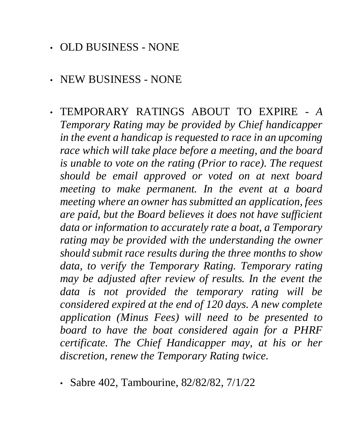- OLD BUSINESS NONE
- NEW BUSINESS NONE
- TEMPORARY RATINGS ABOUT TO EXPIRE *A Temporary Rating may be provided by Chief handicapper in the event a handicap is requested to race in an upcoming race which will take place before a meeting, and the board is unable to vote on the rating (Prior to race). The request should be email approved or voted on at next board meeting to make permanent. In the event at a board meeting where an owner has submitted an application, fees are paid, but the Board believes it does not have sufficient data or information to accurately rate a boat, a Temporary rating may be provided with the understanding the owner should submit race results during the three months to show data, to verify the Temporary Rating. Temporary rating may be adjusted after review of results. In the event the data is not provided the temporary rating will be considered expired at the end of 120 days. A new complete application (Minus Fees) will need to be presented to board to have the boat considered again for a PHRF certificate. The Chief Handicapper may, at his or her discretion, renew the Temporary Rating twice.*
	- Sabre 402, Tambourine, 82/82/82, 7/1/22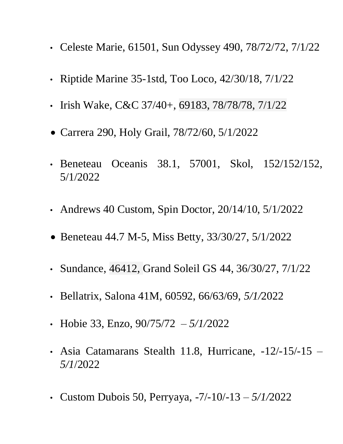- Celeste Marie, 61501, Sun Odyssey 490, 78/72/72, 7/1/22
- Riptide Marine 35-1std, Too Loco, 42/30/18, 7/1/22
- Irish Wake, C&C 37/40+, 69183, 78/78/78, 7/1/22
- Carrera 290, Holy Grail, 78/72/60, 5/1/2022
- Beneteau Oceanis 38.1, 57001, Skol, 152/152/152, 5/1/2022
- Andrews 40 Custom, Spin Doctor, 20/14/10, 5/1/2022
- Beneteau 44.7 M-5, Miss Betty, 33/30/27, 5/1/2022
- Sundance, 46412, Grand Soleil GS 44, 36/30/27, 7/1/22
- Bellatrix, Salona 41M, 60592, 66/63/69, *5/1/*2022
- Hobie 33, Enzo, 90/75/72 *– 5/1/*2022
- Asia Catamarans Stealth 11.8, Hurricane, -12/-15/-15 *– 5/1*/2022
- Custom Dubois 50, Perryaya, -7/-10/-13 *– 5/1/*2022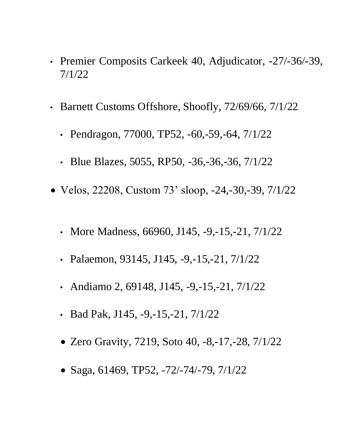- Premier Composits Carkeek 40, Adjudicator, -27/-36/-39, 7/1/22
- Barnett Customs Offshore, Shoofly, 72/69/66, 7/1/22
	- Pendragon, 77000, TP52, -60,-59,-64, 7/1/22
	- Blue Blazes, 5055, RP50, -36,-36,-36, 7/1/22
- Velos, 22208, Custom 73' sloop, -24,-30,-39, 7/1/22
	- More Madness, 66960, J145, -9, -15, -21, 7/1/22
	- Palaemon, 93145, J145,  $-9, -15, -21, 7/1/22$
	- Andiamo 2, 69148, J145,  $-9, -15, -21, \frac{7}{1/22}$
	- Bad Pak, J145,  $-9, -15, -21, \frac{7}{122}$
	- Zero Gravity, 7219, Soto 40, -8,-17,-28, 7/1/22
	- Saga, 61469, TP52, -72/-74/-79, 7/1/22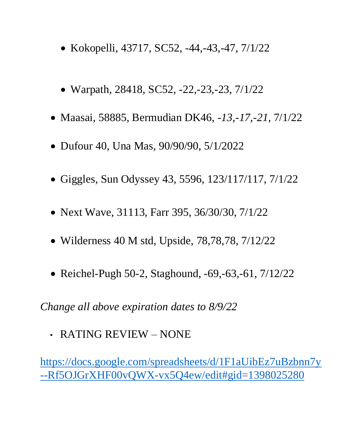- Kokopelli, 43717, SC52, -44,-43,-47, 7/1/22
- Warpath, 28418, SC52, -22,-23,-23, 7/1/22
- Maasai, 58885, Bermudian DK46, *-13,-17,-21,* 7/1/22
- Dufour 40, Una Mas, 90/90/90, 5/1/2022
- Giggles, Sun Odyssey 43, 5596, 123/117/117, 7/1/22
- Next Wave, 31113, Farr 395, 36/30/30, 7/1/22
- Wilderness 40 M std, Upside, 78,78,78, 7/12/22
- Reichel-Pugh 50-2, Staghound, -69, -63, -61, 7/12/22

*Change all above expiration dates to 8/9/22*

• RATING REVIEW – NONE

[https://docs.google.com/spreadsheets/d/1F1aUibEz7uBzbnn7y](https://docs.google.com/spreadsheets/d/1F1aUibEz7uBzbnn7y--Rf5OJGrXHF00vQWX-vx5Q4ew/edit#gid=1398025280) [--Rf5OJGrXHF00vQWX-vx5Q4ew/edit#gid=1398025280](https://docs.google.com/spreadsheets/d/1F1aUibEz7uBzbnn7y--Rf5OJGrXHF00vQWX-vx5Q4ew/edit#gid=1398025280)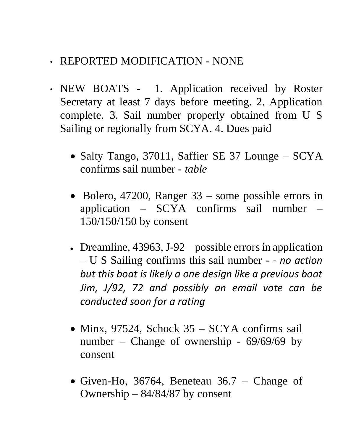- REPORTED MODIFICATION NONE
- NEW BOATS 1. Application received by Roster Secretary at least 7 days before meeting. 2. Application complete. 3. Sail number properly obtained from U S Sailing or regionally from SCYA. 4. Dues paid
	- Salty Tango, 37011, Saffier SE 37 Lounge SCYA confirms sail number *- table*
	- Bolero, 47200, Ranger 33 some possible errors in application –  $SCYA$  confirms sail number 150/150/150 by consent
	- Dreamline, 43963, J-92 possible errors in application – U S Sailing confirms this sail number *- - no action but this boat is likely a one design like a previous boat Jim, J/92, 72 and possibly an email vote can be conducted soon for a rating*
	- Minx, 97524, Schock 35 SCYA confirms sail number – Change of ownership - 69/69/69 by consent
	- Given-Ho, 36764, Beneteau 36.7 Change of Ownership – 84/84/87 by consent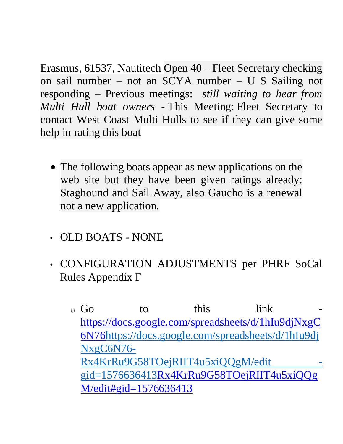Erasmus, 61537, Nautitech Open 40 – Fleet Secretary checking on sail number – not an SCYA number – U S Sailing not responding – Previous meetings: *still waiting to hear from Multi Hull boat owners -* This Meeting: Fleet Secretary to contact West Coast Multi Hulls to see if they can give some help in rating this boat

- The following boats appear as new applications on the web site but they have been given ratings already: Staghound and Sail Away, also Gaucho is a renewal not a new application.
- OLD BOATS NONE
- CONFIGURATION ADJUSTMENTS per PHRF SoCal Rules Appendix F
	- $\circ$  Go to this link [https://docs.google.com/spreadsheets/d/1hIu9djNxgC](https://docs.google.com/spreadsheets/d/1hIu9djNxgC6N76-Rx4KrRu9G58TOejRIIT4u5xiQQgM/edit#gid=1576636413) [6N76https://docs.google.com/spreadsheets/d/1hIu9dj](https://docs.google.com/spreadsheets/d/1hIu9djNxgC6N76-Rx4KrRu9G58TOejRIIT4u5xiQQgM/edit#gid=1576636413) [NxgC6N76-](https://docs.google.com/spreadsheets/d/1hIu9djNxgC6N76-Rx4KrRu9G58TOejRIIT4u5xiQQgM/edit#gid=1576636413) [Rx4KrRu9G58TOejRIIT4u5xiQQgM/edit](https://docs.google.com/spreadsheets/d/1hIu9djNxgC6N76-Rx4KrRu9G58TOejRIIT4u5xiQQgM/edit#gid=1576636413)  [gid=1576636413Rx4KrRu9G58TOejRIIT4u5xiQQg](https://docs.google.com/spreadsheets/d/1hIu9djNxgC6N76-Rx4KrRu9G58TOejRIIT4u5xiQQgM/edit#gid=1576636413) [M/edit#gid=1576636413](https://docs.google.com/spreadsheets/d/1hIu9djNxgC6N76-Rx4KrRu9G58TOejRIIT4u5xiQQgM/edit#gid=1576636413)